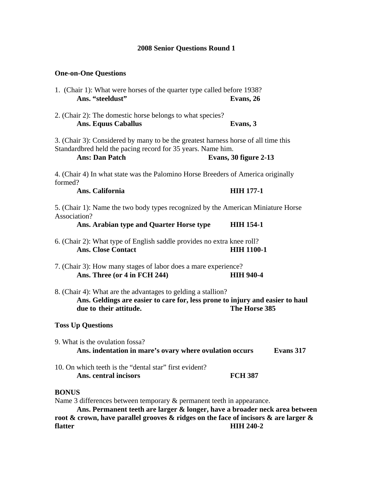# **2008 Senior Questions Round 1**

### **One-on-One Questions**

- 1. (Chair 1): What were horses of the quarter type called before 1938? **Ans. "steeldust" Evans, 26**
- 2. (Chair 2): The domestic horse belongs to what species? **Ans. Equus Caballus Evans, 3**

3. (Chair 3): Considered by many to be the greatest harness horse of all time this Standardbred held the pacing record for 35 years. Name him.

 **Ans: Dan Patch Evans, 30 figure 2-13** 

4. (Chair 4) In what state was the Palomino Horse Breeders of America originally formed?

Ans. California **HIH 177-1** 

5. (Chair 1): Name the two body types recognized by the American Miniature Horse Association?

 **Ans. Arabian type and Quarter Horse type HIH 154-1** 

- 6. (Chair 2): What type of English saddle provides no extra knee roll? Ans. Close Contact **HIH 1100-1**
- 7. (Chair 3): How many stages of labor does a mare experience?  **Ans. Three (or 4 in FCH 244) HIH 940-4**
- 8. (Chair 4): What are the advantages to gelding a stallion? **Ans. Geldings are easier to care for, less prone to injury and easier to haul due to their attitude. The Horse 385**

### **Toss Up Questions**

- 9. What is the ovulation fossa? **Ans. indentation in mare's ovary where ovulation occurs Evans 317**
- 10. On which teeth is the "dental star" first evident? Ans. central incisors **FCH** 387

### **BONUS**

Name 3 differences between temporary & permanent teeth in appearance.

 **Ans. Permanent teeth are larger & longer, have a broader neck area between root & crown, have parallel grooves & ridges on the face of incisors & are larger & flatter HIH 240-2**